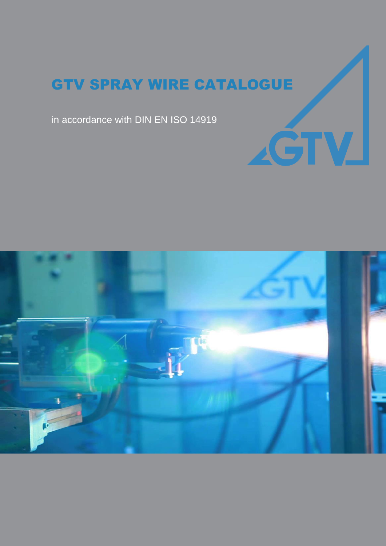AĞTV

in accordance with DIN EN ISO 14919

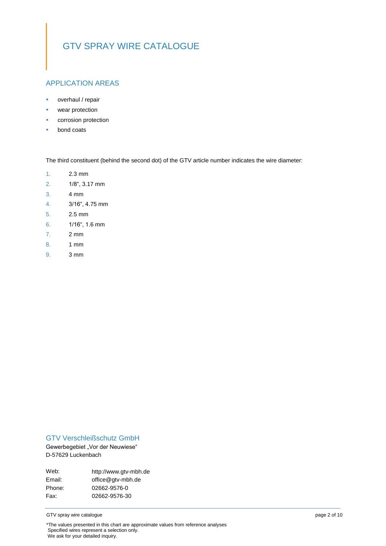### APPLICATION AREAS

- overhaul / repair
- **wear protection**
- corrosion protection
- **bond coats**

The third constituent (behind the second dot) of the GTV article number indicates the wire diameter:

- 1. 2.3 mm
- 2. 1/8", 3.17 mm
- 3. 4 mm
- 4. 3/16", 4.75 mm
- 5. 2.5 mm
- 6. 1/16", 1.6 mm
- 7. 2 mm
- 8. 1 mm
- 9. 3 mm

### GTV Verschleißschutz GmbH

Gewerbegebiet "Vor der Neuwiese" D-57629 Luckenbach

| http://www.gtv-mbh.de |
|-----------------------|
| office@gtv-mbh.de     |
| 02662-9576-0          |
| 02662-9576-30         |
|                       |

GTV spray wire catalogue page 2 of 10

\*The values presented in this chart are approximate values from reference analyses Specified wires represent a selection only. We ask for your detailed inquiry.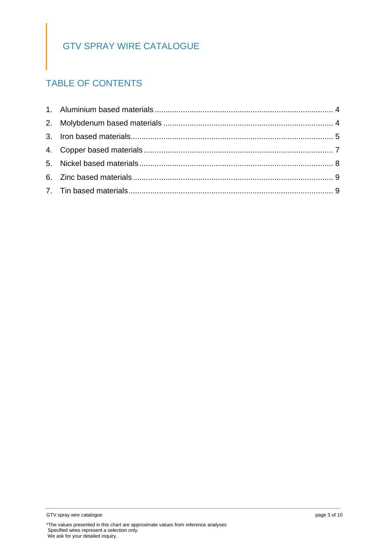# TABLE OF CONTENTS

<sup>\*</sup>The values presented in this chart are approximate values from reference analyses Specified wires represent a selection only. We ask for your detailed inquiry.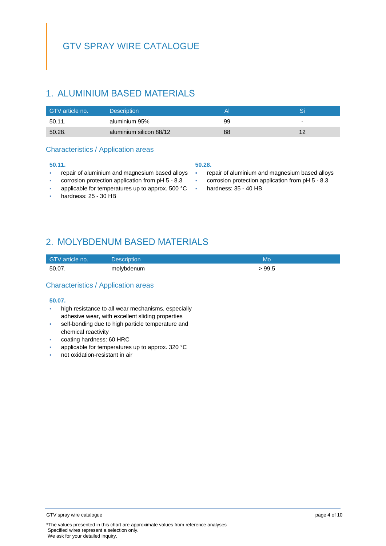## <span id="page-3-0"></span>1. ALUMINIUM BASED MATERIALS

| GTV article no. | <b>Description</b>      |    |                          |
|-----------------|-------------------------|----|--------------------------|
| 50.11.          | aluminium 95%           | 99 | $\overline{\phantom{0}}$ |
| 50.28.          | aluminium silicon 88/12 | 88 |                          |

### Characteristics / Application areas

#### **50.11.**

- **repair of aluminium and magnesium based alloys**
- corrosion protection application from pH 5 8.3
- applicable for temperatures up to approx. 500 °C
- hardness: 25 30 HB

#### **50.28.**

- repair of aluminium and magnesium based alloys
- corrosion protection application from pH 5 8.3
- hardness: 35 40 HB

# <span id="page-3-1"></span>2. MOLYBDENUM BASED MATERIALS

| GTV article no. | Description <sup>1</sup> | Mo    |
|-----------------|--------------------------|-------|
| 50.07.          | molybdenum               | >99.5 |

### Characteristics / Application areas

#### **50.07.**

- **high resistance to all wear mechanisms, especially** adhesive wear, with excellent sliding properties
- self-bonding due to high particle temperature and chemical reactivity
- coating hardness: 60 HRC
- applicable for temperatures up to approx. 320 °C
- not oxidation-resistant in air

GTV spray wire catalogue **page 4 of 10** and the page 4 of 10

<sup>\*</sup>The values presented in this chart are approximate values from reference analyses Specified wires represent a selection only. We ask for your detailed inquiry.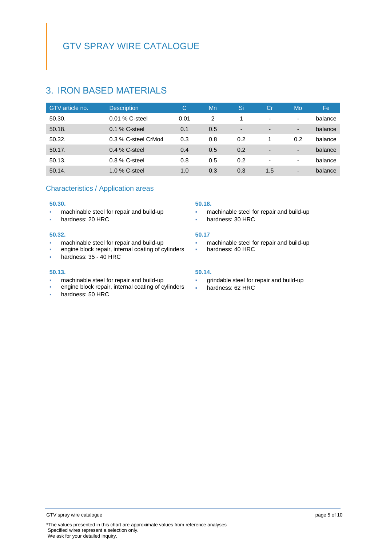### <span id="page-4-0"></span>3. IRON BASED MATERIALS

| GTV article no. | <b>Description</b>  | С    | Mn  | Si                       | Cr                       | Mo  | Fe      |
|-----------------|---------------------|------|-----|--------------------------|--------------------------|-----|---------|
| 50.30.          | $0.01\%$ C-steel    | 0.01 | 2   |                          | $\overline{\phantom{a}}$ |     | balance |
| 50.18.          | $0.1\%$ C-steel     | 0.1  | 0.5 | $\overline{\phantom{a}}$ | $\overline{\phantom{a}}$ | ۰.  | balance |
| 50.32.          | 0.3 % C-steel CrMo4 | 0.3  | 0.8 | 0.2                      |                          | 0.2 | balance |
| 50.17.          | $0.4\%$ C-steel     | 0.4  | 0.5 | 0.2                      | $\overline{\phantom{a}}$ |     | balance |
| 50.13.          | $0.8\%$ C-steel     | 0.8  | 0.5 | 0.2                      | $\overline{\phantom{a}}$ | ۰   | balance |
| 50.14.          | 1.0 % C-steel       | 1.0  | 0.3 | 0.3                      | 1.5                      | -   | balance |

### Characteristics / Application areas

#### **50.30.**

- **n** machinable steel for repair and build-up
- **hardness: 20 HRC**

#### **50.32.**

- machinable steel for repair and build-up
- engine block repair, internal coating of cylinders
- hardness: 35 40 HRC

#### **50.13.**

- machinable steel for repair and build-up
- engine block repair, internal coating of cylinders
- hardness: 50 HRC

#### **50.18.**

- **machinable steel for repair and build-up**
- **hardness: 30 HRC**

#### **50.17**

- **machinable steel for repair and build-up**
- **hardness: 40 HRC**

#### **50.14.**

- grindable steel for repair and build-up
- hardness: 62 HRC

\*The values presented in this chart are approximate values from reference analyses Specified wires represent a selection only. We ask for your detailed inquiry.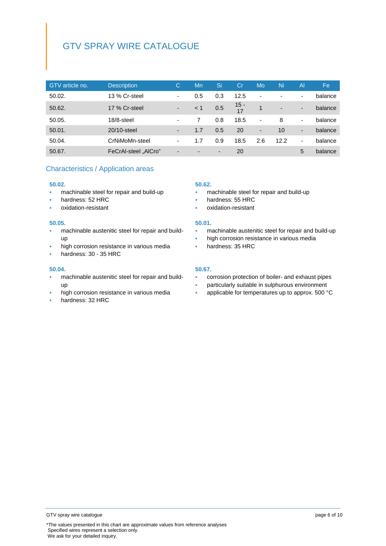| GTV article no. | <b>Description</b>   | С                        | Mn                       | 'Si | Сr           | Mo                       | Ni                       | $\mathsf{A}$             | Fe.     |
|-----------------|----------------------|--------------------------|--------------------------|-----|--------------|--------------------------|--------------------------|--------------------------|---------|
| 50.02.          | 13 % Cr-steel        | ٠                        | 0.5                      | 0.3 | 12.5         | $\overline{\phantom{a}}$ |                          | $\overline{\phantom{0}}$ | balance |
| 50.62.          | 17 % Cr-steel        | $\overline{\phantom{a}}$ | < 1                      | 0.5 | $15 -$<br>17 | 1                        | $\overline{\phantom{0}}$ | $\overline{\phantom{0}}$ | balance |
| 50.05.          | $18/8$ -steel        | $\blacksquare$           |                          | 0.8 | 18.5         | $\overline{\phantom{a}}$ | 8                        | ٠                        | balance |
| 50.01.          | 20/10-steel          | $\overline{\phantom{a}}$ | 1.7                      | 0.5 | 20           | $\overline{\phantom{a}}$ | 10                       | $\overline{\phantom{0}}$ | balance |
| 50.04.          | CrNiMoMn-steel       | $\overline{\phantom{a}}$ | 1.7                      | 0.9 | 18.5         | 2.6                      | 12.2                     | ٠                        | balance |
| 50.67.          | FeCrAl-steel "AICro" | $\overline{\phantom{0}}$ | $\overline{\phantom{0}}$ | ۰   | 20           |                          |                          | 5                        | balance |

### Characteristics / Application areas

#### **50.02.**

- **machinable steel for repair and build-up**
- hardness: 52 HRC
- oxidation-resistant

#### **50.05.**

- machinable austenitic steel for repair and buildup
- high corrosion resistance in various media
- hardness: 30 35 HRC

#### **50.04.**

- machinable austenitic steel for repair and buildup
- high corrosion resistance in various media
- hardness: 32 HRC

#### **50.62.**

- **machinable steel for repair and build-up**
- hardness: 55 HRC
- oxidation-resistant

#### **50.01.**

- machinable austenitic steel for repair and build-up
- high corrosion resistance in various media
- **hardness: 35 HRC**

#### **50.67.**

- corrosion protection of boiler- and exhaust pipes
- particularly suitable in sulphurous environment
- applicable for temperatures up to approx. 500 °C

GTV spray wire catalogue **page 6 of 10** of 10

<sup>\*</sup>The values presented in this chart are approximate values from reference analyses Specified wires represent a selection only. We ask for your detailed inquiry.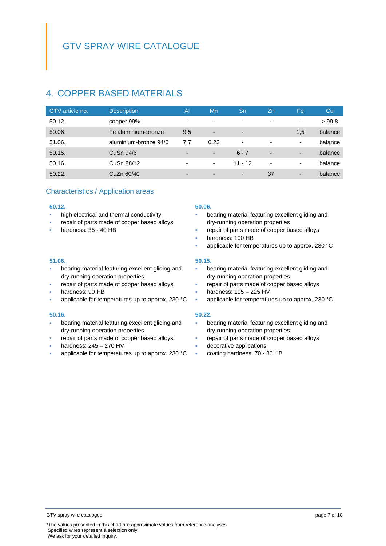# <span id="page-6-0"></span>4. COPPER BASED MATERIALS

| GTV article no. | <b>Description</b>    | $\overline{A}$           | Mn                       | Sn                       | Zn                       | Fe  | Cu      |
|-----------------|-----------------------|--------------------------|--------------------------|--------------------------|--------------------------|-----|---------|
| 50.12.          | copper 99%            | ۰                        | ۰                        | ٠                        | $\overline{\phantom{a}}$ | ۰   | >99.8   |
| 50.06.          | Fe aluminium-bronze   | 9,5                      | $\overline{\phantom{a}}$ | $\overline{\phantom{0}}$ |                          | 1,5 | balance |
| 51.06.          | aluminium-bronze 94/6 | 7.7                      | 0.22                     | ۰                        | ٠                        | ۰   | balance |
| 50.15.          | CuSn 94/6             | ٠                        | $\overline{\phantom{a}}$ | $6 - 7$                  | $\overline{\phantom{a}}$ | -   | balance |
| 50.16.          | CuSn 88/12            | $\overline{\phantom{0}}$ | $\overline{\phantom{a}}$ | $11 - 12$                | $\blacksquare$           | ۰   | balance |
| 50.22.          | CuZn 60/40            | $\overline{\phantom{0}}$ | $\overline{\phantom{0}}$ | $\overline{\phantom{a}}$ | 37                       | -   | balance |

### Characteristics / Application areas

#### **50.12.**

- high electrical and thermal conductivity
- repair of parts made of copper based alloys
- hardness: 35 40 HB

#### **50.06.**

- bearing material featuring excellent gliding and dry-running operation properties
- repair of parts made of copper based alloys
- hardness: 100 HB
- applicable for temperatures up to approx. 230 °C

#### **50.15.**

- bearing material featuring excellent gliding and dry-running operation properties
- repair of parts made of copper based alloys
- hardness: 195 225 HV
- applicable for temperatures up to approx. 230 °C

#### **50.22.**

- bearing material featuring excellent gliding and dry-running operation properties
- repair of parts made of copper based alloys
- decorative applications
- coating hardness: 70 80 HB

#### **51.06.**

- bearing material featuring excellent gliding and dry-running operation properties
- repair of parts made of copper based alloys
- hardness: 90 HB
- applicable for temperatures up to approx. 230 °C

#### **50.16.**

- bearing material featuring excellent gliding and dry-running operation properties
- repair of parts made of copper based alloys
- hardness: 245 270 HV
- applicable for temperatures up to approx. 230 °C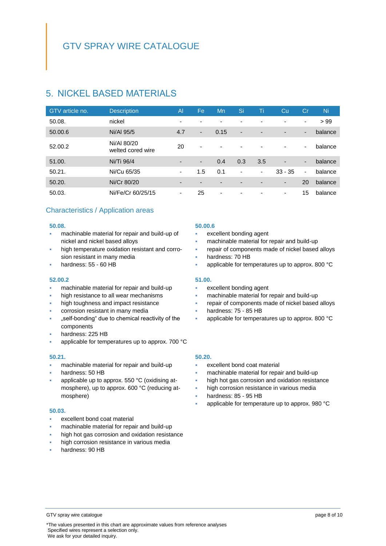# <span id="page-7-0"></span>5. NICKEL BASED MATERIALS

| GTV article no. | <b>Description</b>               | $\overline{A}$           | Fe                       | Mn                       | 'Si                      | Ti                       | Cu                       | Cr                       | Ni      |
|-----------------|----------------------------------|--------------------------|--------------------------|--------------------------|--------------------------|--------------------------|--------------------------|--------------------------|---------|
| 50.08.          | nickel                           | $\overline{\phantom{0}}$ | $\overline{\phantom{0}}$ | $\overline{\phantom{a}}$ | ۰                        | ٠                        | $\overline{\phantom{0}}$ | ۰.                       | >99     |
| 50.00.6         | Ni/Al 95/5                       | 4.7                      | ٠                        | 0.15                     | $\overline{\phantom{a}}$ | $\overline{\phantom{0}}$ | $\overline{\phantom{0}}$ | ٠                        | balance |
| 52.00.2         | Ni/AI 80/20<br>welted cored wire | 20                       | $\blacksquare$           | $\overline{\phantom{0}}$ | ۰                        | $\overline{\phantom{0}}$ | $\overline{\phantom{0}}$ | ٠                        | balance |
| 51.00.          | Ni/Ti 96/4                       | $\overline{\phantom{0}}$ | $\blacksquare$           | 0.4                      | 0.3                      | 3.5                      | $\overline{\phantom{0}}$ | $\overline{\phantom{a}}$ | balance |
| 50.21.          | Ni/Cu 65/35                      | ۰                        | 1.5                      | 0.1                      | ٠                        | ٠                        | $33 - 35$                | ٠                        | balance |
| 50.20.          | Ni/Cr 80/20                      | $\overline{\phantom{0}}$ | $\overline{\phantom{0}}$ | $\overline{\phantom{a}}$ | $\overline{\phantom{0}}$ | $\overline{\phantom{0}}$ | $\overline{\phantom{a}}$ | 20                       | balance |
| 50.03.          | Ni/Fe/Cr 60/25/15                | ۰                        | 25                       | ٠                        | ۰                        | $\overline{\phantom{0}}$ | $\overline{\phantom{a}}$ | 15                       | balance |

### Characteristics / Application areas

#### **50.08.**

- machinable material for repair and build-up of nickel and nickel based alloys
- high temperature oxidation resistant and corrosion resistant in many media
- hardness: 55 60 HB

#### **52.00.2**

- machinable material for repair and build-up
- high resistance to all wear mechanisms
- high toughness and impact resistance
- corrosion resistant in many media
- "self-bonding" due to chemical reactivity of the components
- hardness: 225 HB
- applicable for temperatures up to approx. 700 °C

#### **50.21.**

- machinable material for repair and build-up
- hardness: 50 HB
- applicable up to approx. 550 °C (oxidising atmosphere), up to approx. 600 °C (reducing atmosphere)

#### **50.03.**

- excellent bond coat material
- machinable material for repair and build-up
- high hot gas corrosion and oxidation resistance
- high corrosion resistance in various media
- hardness: 90 HB

#### **50.00.6**

- excellent bonding agent
- machinable material for repair and build-up
- repair of components made of nickel based alloys
- hardness: 70 HB
- applicable for temperatures up to approx. 800 °C

#### **51.00.**

- excellent bonding agent
- machinable material for repair and build-up
- repair of components made of nickel based alloys
- hardness: 75 85 HB
- applicable for temperatures up to approx. 800 °C

#### **50.20.**

- excellent bond coat material
- machinable material for repair and build-up
- high hot gas corrosion and oxidation resistance
- high corrosion resistance in various media
- hardness: 85 95 HB
- applicable for temperature up to approx. 980 °C

GTV spray wire catalogue **page 8 of 10** and the spread of the page 8 of 10

<sup>\*</sup>The values presented in this chart are approximate values from reference analyses Specified wires represent a selection only. We ask for your detailed inquiry.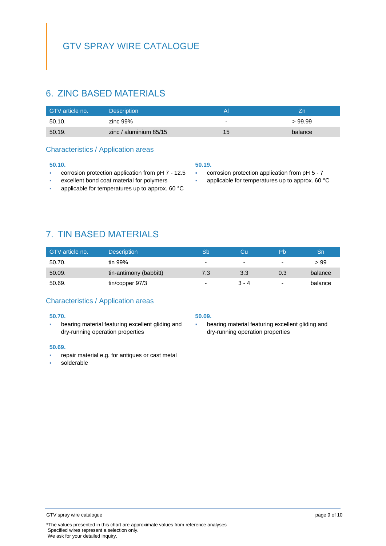# <span id="page-8-0"></span>6. ZINC BASED MATERIALS

| GTV article no. | <b>Description</b>       | Al                       |         |
|-----------------|--------------------------|--------------------------|---------|
| 50.10.          | zinc 99%                 | $\overline{\phantom{0}}$ | >99.99  |
| 50.19.          | zinc / aluminium $85/15$ | 15                       | balance |

### Characteristics / Application areas

#### **50.10.**

- **COLO EXECUTE:** corrosion protection application from pH 7 12.5
- excellent bond coat material for polymers
- **applicable for temperatures up to approx. 60 °C**

#### **50.19.**

- **COLO EXECTED EXECTED FROM PH 5 7**
- applicable for temperatures up to approx. 60 °C

<span id="page-8-1"></span>7. TIN BASED MATERIALS

| GTV article no. | <b>Description</b>     | Sb             | Cυ      | 'Pb                      | Sn      |
|-----------------|------------------------|----------------|---------|--------------------------|---------|
| 50.70.          | tin 99%                | ٠              | ۰       | ۰                        | > 99    |
| 50.09.          | tin-antimony (babbitt) | 7.3            | 3.3     | 0.3                      | balance |
| 50.69.          | tin/copper 97/3        | $\blacksquare$ | $3 - 4$ | $\overline{\phantom{0}}$ | balance |

### Characteristics / Application areas

#### **50.70.**

**bearing material featuring excellent gliding and** dry-running operation properties

#### **50.69.**

- repair material e.g. for antiques or cast metal
- solderable

#### **50.09.**

 bearing material featuring excellent gliding and dry-running operation properties

<sup>\*</sup>The values presented in this chart are approximate values from reference analyses Specified wires represent a selection only. We ask for your detailed inquiry.